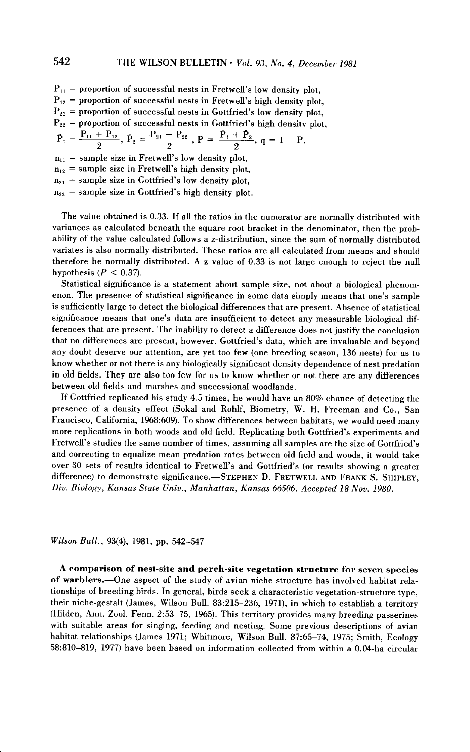$P_{11}$  = proportion of successful nests in Fretwell's low density plot,  $P_{12}$  = proportion of successful nests in Fretwell's high density plot,  $P_{21}$  = proportion of successful nests in Gottfried's low density plot,  $P_{22}$  = proportion of successful nests in Gottfried's high density plot,  $\bar{P}_1 = \frac{P_{11} + P_{12}}{2}, \ \bar{P}_2 = \frac{P_{21} + P_{22}}{2}, \ P = \frac{\bar{P}_1 + \bar{P}_2}{2}$  $n_{11}$  = sample size in Fretwell's low density plot,  $n_{12}$  = sample size in Fretwell's high density plot,  $n_{21}$  = sample size in Gottfried's low density plot,

 $n_{22}$  = sample size in Gottfried's high density plot.

**The value obtained is 0.33. If all the ratios in the numerator are normally distributed with variances as calculated beneath the square root bracket in the denominator, then the probability of the value calculated follows a z-distribution, since the sum of normally distributed variates is also normally distributed. These ratios are all calculated from means and should therefore be normally distributed. A z value of 0.33 is not large enough to reject the null**  hypothesis  $(P < 0.37)$ .

**Statistical significance is a statement about sample size, not about a biological phenomenon.** The presence of statistical significance in some data simply means that one's sample **is sufficiently large to detect the biological differences that are present. Absence of statistical**  significance means that one's data are insufficient to detect any measurable biological dif**ferences that are present. The inability to detect a difference does not justify the conclusion**  that no differences are present, however. Gottfried's data, which are invaluable and beyond **any doubt deserve our attention, are yet too few (one breeding season, 136 nests) for us to know whether or not there is any biologically significant density dependence of nest predation in old fields. They are also too few for us to know whether or not there are any differences between old fields and marshes and successional woodlands.** 

**If Gottfried replicated his study 4.5 times, he would have an 80% chance of detecting the presence of a density effect (Sokal and Rohlf, Biometry, W. H. Freeman and Co., San Francisco, California, 1968:609). To show differences between habitats, we would need many**  more replications in both woods and old field. Replicating both Gottfried's experiments and **Fretwells ' studies the same number of times, assuming all samples are the size of Gottfrieds ' and correcting to equalize mean predation rates between old field and woods, it would take**   $over 30$  sets of results identical to Fretwell's and Gottfried's (or results showing a greater difference) to demonstrate significance.-STEPHEN D. FRETWELL AND FRANK S. SHIPLEY, **Div. Biology, Kansas State Univ., Manhattan, Kansas 66506. Accepted 18 Nov. 1980.** 

#### **Wilson Bull., 93(4), 1981, pp. 542-547**

**A comparison of nest-site and perch-site vegetation structure for seven species of warblers.-One aspect of the study of avian niche structure has involved habitat relationships of breeding birds. In general, birds seek a characteristic vegetation-structure type, their niche-gestalt (James, Wilson Bull. 83:215-236, 1971), in which to establish a territory (Hilden, Ann. Zool. Fenn. 2:53-75, 1965). This territory provides many breeding passerines with suitable areas for singing, feeding and nesting. Some previous descriptions of avian habitat relationships (James 1971; Whitmore, Wilson Bull. 87:65-74, 1975; Smith, Ecology 58:810-819, 1977) have been based on information collected from within a 0.04-ha circular**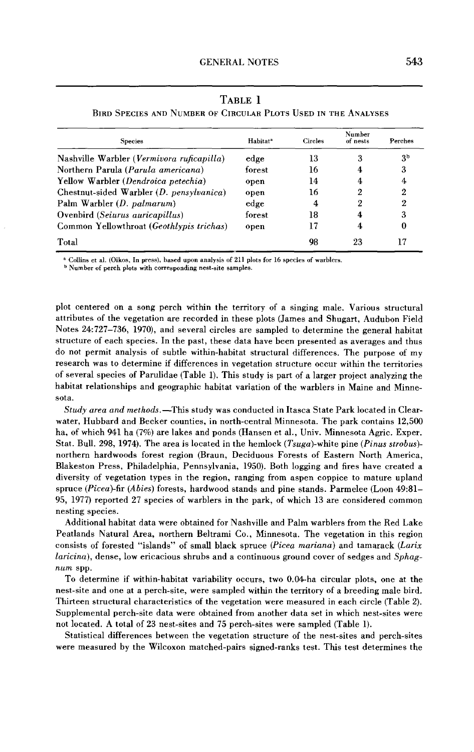| <b>Species</b>                             | Habitat <sup>a</sup> | Circles | Number<br>of nests | Perches |
|--------------------------------------------|----------------------|---------|--------------------|---------|
| Nashville Warbler (Vermivora ruficapilla)  | edge                 | 13      | 3                  | Зp      |
| Northern Parula (Parula americana)         | forest               | 16      |                    | 3       |
| Yellow Warbler (Dendroica petechia)        | open                 | 14      |                    | 4       |
| Chestnut-sided Warbler $(D. pensylvanica)$ | open                 | 16      | 2                  | 2       |
| Palm Warbler (D. palmarum)                 | edge                 | 4       | 2                  | 2       |
| Ovenbird (Seiurus auricapillus)            | forest               | 18      |                    | 3       |
| Common Yellowthroat (Geothlypis trichas)   | open                 | 17      | 4                  | 0       |
| Total                                      |                      | 98      | 23                 | 17      |

**TABLE 1 BIRD SPECIES AND NUMBER OF CIRCULAR PLOTS USED IN THE ANALYSES** 

**a Collins et al. (Oikos, In press), based upon analysis of 211 plots for 16 species of warblers** 

**b Number of perch plots with corresponding nest-site samples.** 

**plot centered on a song perch within the territory of a singing male. Various structural attributes of the vegetation are recorded in these plots (James and Shugart, Audubon Field Notes 24:727-736, 1970), and several circles are sampled to determine the general habitat structure of each species. In the past, these data have been presented as averages and thus do not permit analysis of subtle within-habitat structural differences. The purpose of my research was to determine if differences in vegetation structure occur within the territories of several species of Parulidae (Table 1). This study is part of a larger project analyzing the habitat relationships and geographic habitat variation of the warblers in Maine and Minnesota.** 

**Study area and methods.-This study was conducted in Itasca State Park located in Clearwater, Hubbard and Becker counties, in north-central Minnesota. The park contains 12,500 ha, of which 941 ha (7%) are lakes and ponds (Hansen et al., Univ. Minnesota Agric. Exper. Stat. Bull. 298, 1974). The area is located in the hemlock (Tsuga)-white pine (Pinus strobes) northern hardwoods forest region (Braun, Deciduous Forests of Eastern North America, Blakeston Press, Philadelphia, Pennsylvania, 1950). Both logging and fires have created a diversity of vegetation types in the region, ranging from aspen coppice to mature upland**  spruce (Picea)-fir (Abies) forests, hardwood stands and pine stands. Parmelee (Loon 49:81– **95, 1977) reported 27 species of warblers in the park, of which 13 are considered common nesting species.** 

**Additional habitat data were obtained for Nashville and Palm warblers from the Red Lake Peatlands Natural Area, northern Beltrami Co., Minnesota. The vegetation in this region consists of forested "islands" of small black spruce (Picea mariana) and tamarack (Larix laricina), dense, low ericacious shrubs and a continuous ground cover of sedges and Sphagnum spp.** 

**To determine if within-habitat variability occurs, two 0.04-ha circular plots, one at the nest-site and one at a perch-site, were sampled within the territory of a breeding male bird. Thirteen structural characteristics of the vegetation were measured in each circle (Table 2). Supplemental perch-site data were obtained from another data set in which nest-sites were not located. A total of 23 nest-sites and 75 perch-sites were sampled (Table 1).** 

**Statistical differences between the vegetation structure of the nest-sites and perch-sites were measured by the Wilcoxon matched-pairs signed-ranks test. This test determines the**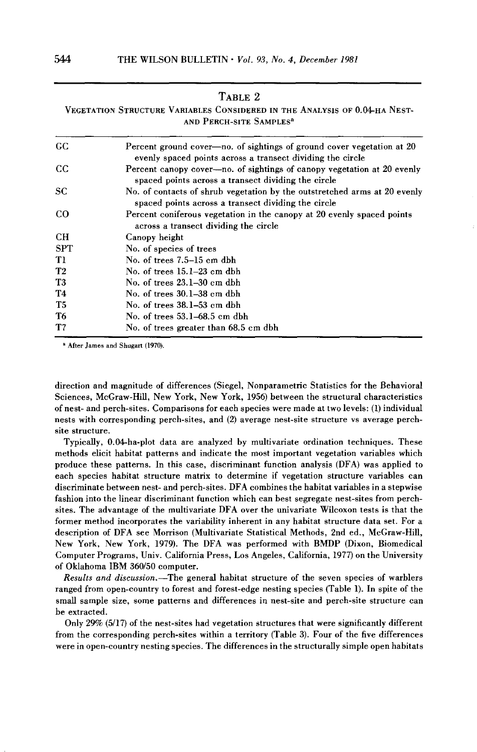# **TABLE 2**

**VEGETATION STRUCTURE VARIABLES CONSIDERED IN THE ANALYSIS OF 0.04-HA NEST-AND PERCH-SITE SAMPLES** 

| GC.            | Percent ground cover—no. of sightings of ground cover vegetation at 20<br>evenly spaced points across a transect dividing the circle |
|----------------|--------------------------------------------------------------------------------------------------------------------------------------|
| cc             | Percent canopy cover—no. of sightings of canopy vegetation at 20 evenly<br>spaced points across a transect dividing the circle       |
| <b>SC</b>      | No. of contacts of shrub vegetation by the outstretched arms at 20 evenly<br>spaced points across a transect dividing the circle     |
| $_{\rm CO}$    | Percent coniferous vegetation in the canopy at 20 evenly spaced points<br>across a transect dividing the circle                      |
| <b>CH</b>      | Canopy height                                                                                                                        |
| <b>SPT</b>     | No. of species of trees                                                                                                              |
| T1             | No. of trees 7.5–15 cm dbh                                                                                                           |
| T2             | No. of trees 15.1–23 cm dbh                                                                                                          |
| T <sub>3</sub> | No. of trees 23.1–30 cm dbh                                                                                                          |
| T4             | No. of trees 30.1–38 cm dbh                                                                                                          |
| T5             | No. of trees 38.1–53 cm dbh                                                                                                          |
| T <sub>6</sub> | No. of trees 53.1–68.5 cm dbh                                                                                                        |
| T7             | No. of trees greater than 68.5 cm dbh                                                                                                |

**a After James and Shugan (1970).** 

**direction and magnitude of differences (Siegel, Nonparametric Statistics for the Behavioral Sciences, McGraw-Hill, New York, New York, 1956) between the structural characteristics of nest- and perch-sites. Comparisons for each species were made at two levels: (1) individual**  nests with corresponding perch-sites, and (2) average nest-site structure vs average perch**site structure.** 

**Typically, 0.04-ha-plot data are analyzed by multivariate ordination techniques. These methods elicit habitat patterns and indicate the most important vegetation variables which produce these patterns. In this case, discriminant function analysis (DFA) was applied to each species habitat structure matrix to determine if vegetation structure variables can discriminate between nest- and perch-sites. DFA combines the habitat variables in a stepwise fashion into the linear discriminant function which can best segregate nest-sites from perchsites. The advantage of the multivariate DFA over the univariate Wilcoxon tests is that the former method incorporates the variability inherent in any habitat structure data set. For a description of DFA see Morrison (Multivariate Statistical Methods, 2nd ed., McGraw-Hill, New York, New York, 1979). The DFA was performed with BMDP (Dixon, Biomedical Computer Programs, Univ. California Press, Los Angeles, California, 1977) on the University of Oklahoma IBM 360/50 computer.** 

**Results and discussion-The general habitat structure of the seven species of warblers ranged from open-country to forest and forest-edge nesting species (Table 1). In spite of the small sample size, some patterns and differences in nest-site and perch-site structure can be extracted.** 

**Only 29% (5/17) of the nest-sites had vegetation structures that were significantly different from the corresponding perch-sites within a territory (Table 3). Four of the five differences were in open-country nesting species. The differences in the structurally simple open habitats**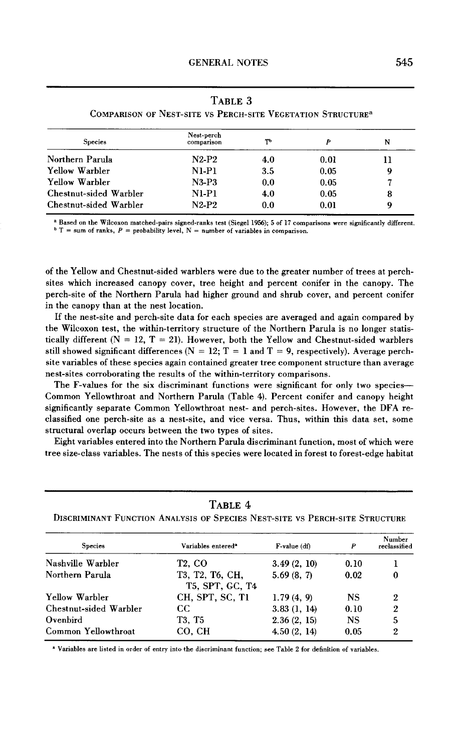| <b>Species</b>         | Nest-perch<br>comparison | ጦ   |      | N |
|------------------------|--------------------------|-----|------|---|
| Northern Parula        | $N2-P2$                  | 4.0 | 0.01 |   |
| Yellow Warbler         | $N1-P1$                  | 3.5 | 0.05 | 9 |
| Yellow Warbler         | <b>N3-P3</b>             | 0.0 | 0.05 |   |
| Chestnut-sided Warbler | $N1-P1$                  | 4.0 | 0.05 | 8 |
| Chestnut-sided Warbler | $N2-P2$                  | 0.0 | 0.01 | Q |

**TABLE 3 COMPARISON OF NEST-SITE vs PERCH-SITE VEGETATION STRUCTURES** 

a Based on the Wilcoxon matched-pairs signed-ranks test (Siegel 1956); 5 of 17 comparisons were significantly different.  $\mathbf{P} = \mathbf{S}$  **T** = sum of ranks,  $\mathbf{P} = \text{probability level}$ ,  $\mathbf{N} = \text{number of variables in comparison.}$ 

**of the Yellow and Chestnut-sided warblers were due to the greater number of trees at perchsites which increased canopy coyer, tree height and percent conifer in the canopy. The perch-site of the Northern Parula had higher ground and shrub cover, and percent conifer in the canopy than at the nest location.** 

**If the nest-site and perch-site data for each species are averaged and again compared by the Wilcoxon test, the within-territory structure of the Northern Parula is no longer statis**tically different  $(N = 12, T = 21)$ . However, both the Yellow and Chestnut-sided warblers still showed significant differences  $(N = 12; T = 1$  and  $T = 9$ , respectively). Average perch**site variables of these species again contained greater tree component structure than average nest-sites corroborating the results of the within-territory comparisons.** 

**The F-values for the six discriminant functions were significant for only two species-Common Yellowthroat and Northern Parula (Table 4). Percent conifer and canopy height significantly separate Common Yellowthroat nest- and perch-sites. However, the DFA reclassified one perch-site as a nest-site, and vice versa. Thus, within this data set, some structural overlap occurs between the two types of sites.** 

**Eight variables entered into the Northern Parula discriminant function, most of which were tree size-class variables. The nests of this species were located in forest to forest-edge habitat** 

## **TABLE 4**

**DISCRIMINANT FUNCTION ANALYSIS OF SPECIES NEST-SITE vs PERCH-SITE STRUCTURE** 

| <b>Species</b>         | Variables entered <sup>a</sup>     | F-value (df) | P    | Number<br>reclassified |  |
|------------------------|------------------------------------|--------------|------|------------------------|--|
| Nashville Warbler      | T <sub>2</sub> . CO                | 3.49(2, 10)  | 0.10 |                        |  |
| Northern Parula        | T3, T2, T6, CH,<br>T5, SPT, GC, T4 | 5.69(8, 7)   | 0.02 | $\Omega$               |  |
| Yellow Warbler         | CH, SPT, SC, T1                    | 1.79(4, 9)   | NS.  | 2                      |  |
| Chestnut-sided Warbler | CC                                 | 3.83(1, 14)  | 0.10 | 2                      |  |
| Ovenbird               | T3, T5                             | 2.36(2, 15)  | NS.  | 5                      |  |
| Common Yellowthroat    | CO. CH                             | 4.50(2, 14)  | 0.05 | 2                      |  |

**e Variables are listed in order of entry into the discriminant function; see Table 2 for definition of variables**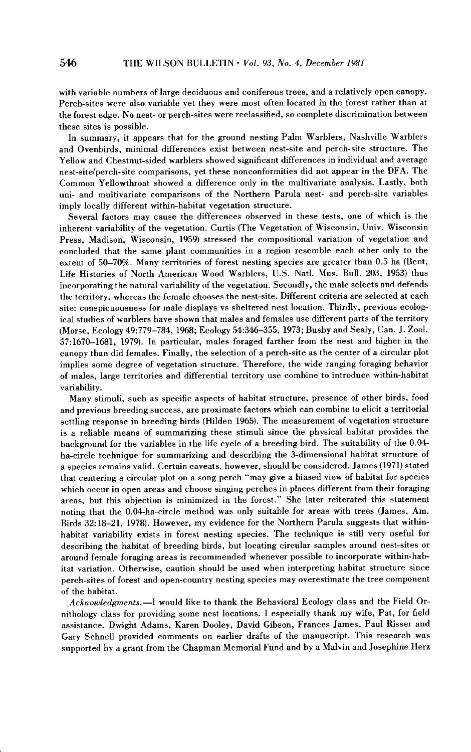**with variable numbers of large deciduous and coniferous trees, and a relatively open canopy. Perch-sites were also variable yet they were most often located in the forest rather than at the forest edge. No nest- or perch-sites were reclassified, so complete discrimination between these sites is possible.** 

**In summary, it appears that for the ground nesting Palm Warblers, Nashville Warblers and Ovenbirds, minimal differences exist between nest-site and perch-site structure. The Yellow and Chestnut-sided warblers showed significant differences in individual and average nest-site/perch-site comparisons, yet these nonconformities did not appear in the DFA. The Common Yellowthroat showed a difference only in the multivariate analysis. Lastly, both uni- and multivariate comparisons of the Northern Parula nest- and perch-site variables imply locally different within-habitat vegetation structure.** 

**Several factors may cause the differences observed in these tests, one of which is the inherent variability of the vegetation. Curtis (The Vegetation of Wisconsin, Univ. Wisconsin Press, Madison, Wisconsin, 1959) stressed the compositional variation of vegetation and concluded that the same plant communities in a region resemble each other only to the extent of 50-70%. Many territories of forest nesting species are greater than 0.5 ha (Bent, Life Histories of North American Wood Warblers, U.S. Natl. Mus. Bull. 203, 1953) thus incorporating the natural variability of the vegetation. Secondly, the male selects and defends the territory, whereas the female chooses the nest-site. Different criteria are selected at each site: conspicuousness for male displays vs sheltered nest location. Thirdly, previous ecological studies of warblers have shown that males and females use different parts of the territory (Morse, Ecology 49:779-784, 1968; Ecology 54:346-355, 1973; Busby and Sealy, Can. J. Zool. 57:1670-1681, 1979). In particular, males foraged farther from the nest and higher in the canopy than did females. Finally, the selection of a perch-site as the center of a circular plot implies some degree of vegetation structure. Therefore, the wide ranging foraging behavior of males, large territories and differential territory use combine to introduce within-habitat variability.** 

**Many stimuli, such as specific aspects of habitat structure, presence of other birds, food and previous breeding success, are proximate factors which can combine to elicit a territorial settling response in breeding birds (Hilden 1965). The measurement of vegetation structure is a reliable means of summarizing these stimuli since the physical habitat provides the background for the variables in the life cycle of a breeding bird. The suitability of the 0.04 ha-circle technique for summarizing and describing the 3-dimensional habitat structure of a species remains valid. Certain caveats, however, should be considered. James (1971) stated that centering a circular plot on a song perch "may give a biased view of habitat for species which occur in open areas and choose singing perches in places different from their foraging areas, but this objection is minimized in the forest." She later reiterated this statement noting that the 0.04-ha-circle method was only suitable for areas with trees (James, Am. Birds 32:18-21, 1978). However, my evidence for the Northern Parula suggests that withinhabitat variability exists in forest nesting species. The technique is still very useful for describing the habitat of breeding birds, but locating circular samples around nest-sites or around female foraging areas is recommended whenever possible to incorporate within-habitat variation. Otherwise, caution should be used when interpreting habitat structure since perch-sites of forest and open-country nesting species may overestimate the tree component of the habitat.** 

Acknowledgments.-I would like to thank the Behavioral Ecology class and the Field Or**nithology class for providing some nest locations, I especially thank my wife, Pat, for field assistance. Dwight Adams, Karen Dooley, David Gibson, Frances James, Paul Risser and Gary Schnell provided comments on earlier drafts of the manuscript. This research was supported by a grant from the Chapman Memorial Fund and by a Malvin and Josephine Herz**